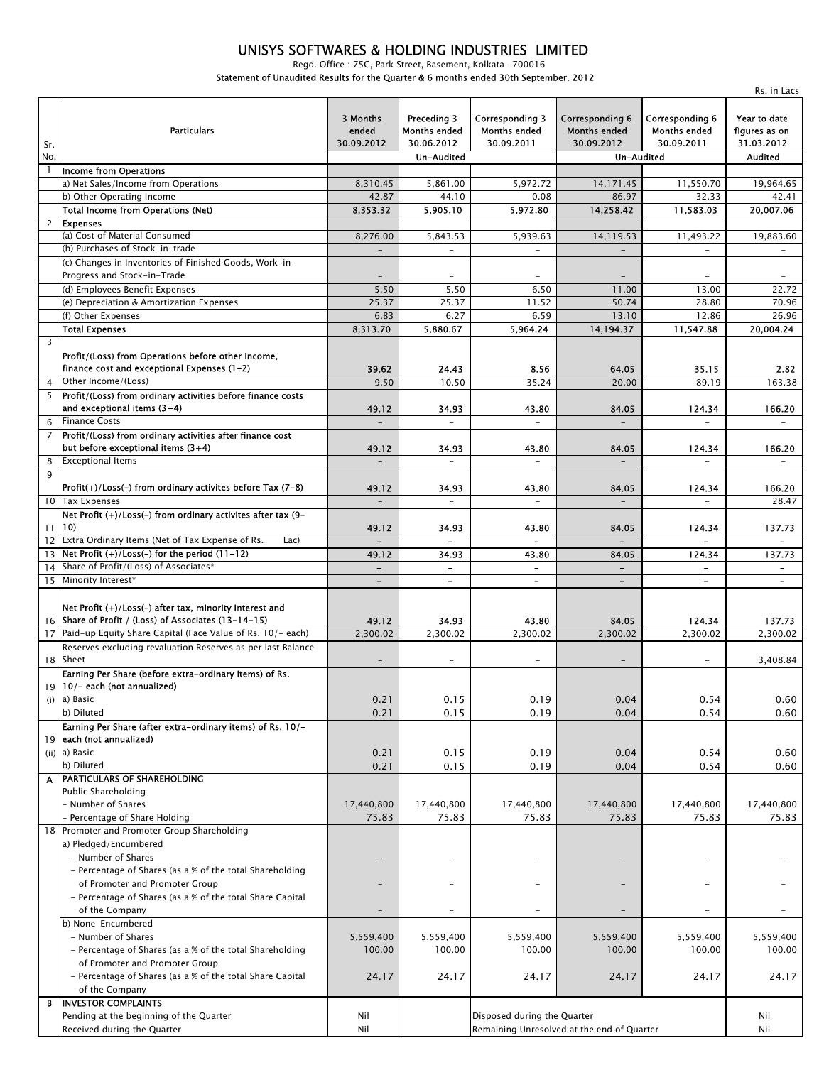#### UNISYS SOFTWARES & HOLDING INDUSTRIES LIMITED

Regd. Office : 75C, Park Street, Basement, Kolkata- 700016

Rs. in Lacs

Statement of Unaudited Results for the Quarter & 6 months ended 30th September, 2012

| Sr.            | <b>Particulars</b>                                                                                              | 3 Months<br>ended<br>30.09.2012 | Preceding 3<br><b>Months ended</b><br>30.06.2012 | <b>Corresponding 3</b><br><b>Months ended</b><br>30.09.2011 | Corresponding 6<br><b>Months ended</b><br>30.09.2012 | Corresponding 6<br><b>Months ended</b><br>30.09.2011 | Year to date<br>figures as on<br>31.03.2012 |
|----------------|-----------------------------------------------------------------------------------------------------------------|---------------------------------|--------------------------------------------------|-------------------------------------------------------------|------------------------------------------------------|------------------------------------------------------|---------------------------------------------|
| No.            |                                                                                                                 |                                 | Un-Audited                                       |                                                             | Un-Audited                                           |                                                      | <b>Audited</b>                              |
|                | <b>Income from Operations</b>                                                                                   |                                 |                                                  |                                                             |                                                      |                                                      |                                             |
|                | a) Net Sales/Income from Operations                                                                             | 8,310.45                        | 5,861.00                                         | 5,972.72                                                    | 14,171.45                                            | 11,550.70                                            | 19,964.65                                   |
|                | b) Other Operating Income<br><b>Total Income from Operations (Net)</b>                                          | 42.87<br>8,353.32               | 44.10<br>5,905.10                                | 0.08<br>5,972.80                                            | 86.97<br>14,258.42                                   | 32.33<br>11,583.03                                   | 42.41<br>20,007.06                          |
| $\overline{c}$ | <b>Expenses</b>                                                                                                 |                                 |                                                  |                                                             |                                                      |                                                      |                                             |
|                | (a) Cost of Material Consumed                                                                                   | 8,276.00                        | 5,843.53                                         | 5,939.63                                                    | 14,119.53                                            | 11,493.22                                            | 19,883.60                                   |
|                | (b) Purchases of Stock-in-trade                                                                                 |                                 |                                                  |                                                             |                                                      |                                                      |                                             |
|                | (c) Changes in Inventories of Finished Goods, Work-in-                                                          |                                 |                                                  |                                                             |                                                      |                                                      |                                             |
|                | Progress and Stock-in-Trade                                                                                     |                                 |                                                  |                                                             |                                                      |                                                      |                                             |
|                | (d) Employees Benefit Expenses                                                                                  | 5.50                            | 5.50                                             | 6.50                                                        | 11.00                                                | 13.00                                                | 22.72                                       |
|                | (e) Depreciation & Amortization Expenses<br>(f) Other Expenses                                                  | 25.37<br>6.83                   | 25.37<br>6.27                                    | 11.52<br>6.59                                               | 50.74<br>13.10                                       | 28.80<br>12.86                                       | 70.96                                       |
|                | <b>Total Expenses</b>                                                                                           | 8,313.70                        | 5,880.67                                         | 5,964.24                                                    | 14,194.37                                            | 11,547.88                                            | 26.96<br>20,004.24                          |
| 3              |                                                                                                                 |                                 |                                                  |                                                             |                                                      |                                                      |                                             |
|                | Profit/(Loss) from Operations before other Income,<br>finance cost and exceptional Expenses (1-2)               | 39.62                           | 24 43                                            | 8.56                                                        | 64.05                                                | 35.15                                                | 2.82                                        |
| 4              | Other Income/(Loss)                                                                                             | 9.50                            | 10.50                                            | 35.24                                                       | 20.00                                                | 89.19                                                | 163.38                                      |
|                | 5 Profit/(Loss) from ordinary activities before finance costs<br>and exceptional items $(3+4)$                  | 49.12                           | 34.93                                            | 43.80                                                       | 84.05                                                | 124.34                                               | 166.20                                      |
| 6              | <b>Finance Costs</b>                                                                                            | $\overline{a}$                  |                                                  |                                                             |                                                      |                                                      |                                             |
| $\overline{7}$ | Profit/(Loss) from ordinary activities after finance cost<br>but before exceptional items (3+4)                 | 49.12                           | 34.93                                            | 43.80                                                       | 84.05                                                | 124.34                                               | 166.20                                      |
| 8<br>9         | <b>Exceptional Items</b>                                                                                        |                                 |                                                  |                                                             |                                                      |                                                      |                                             |
|                | Profit $(+)/$ Loss $(-)$ from ordinary activites before Tax $(7-8)$                                             | 49.12                           | 34.93                                            | 43.80<br>$\overline{\phantom{a}}$                           | 84.05                                                | 124.34                                               | 166.20                                      |
|                | 10 Tax Expenses<br>Net Profit (+)/Loss(-) from ordinary activites after tax (9-                                 |                                 |                                                  |                                                             |                                                      |                                                      | 28.47                                       |
|                | 11 10                                                                                                           | 49.12                           | 34.93                                            | 43.80                                                       | 84.05                                                | 124.34                                               | 137.73                                      |
|                | 12 Extra Ordinary Items (Net of Tax Expense of Rs.<br>Lac)                                                      | $\overline{a}$                  |                                                  | $\equiv$                                                    |                                                      |                                                      |                                             |
|                | $13$ Net Profit $(+)/$ Loss(-) for the period $(11-12)$                                                         | 49.12                           | 34.93                                            | 43.80                                                       | 84.05                                                | 124.34                                               | 137.73                                      |
|                | 14 Share of Profit/(Loss) of Associates*<br>15 Minority Interest*                                               | $\overline{\phantom{a}}$        | -                                                | $\blacksquare$                                              | $\overline{\phantom{a}}$                             | $\qquad \qquad \blacksquare$                         | $\blacksquare$                              |
|                |                                                                                                                 | $\overline{\phantom{0}}$        | $\overline{\phantom{0}}$                         | $\overline{\phantom{a}}$                                    | $\overline{\phantom{0}}$                             | $\overline{\phantom{a}}$                             | $\overline{\phantom{a}}$                    |
|                | Net Profit (+)/Loss(-) after tax, minority interest and<br>16 Share of Profit / (Loss) of Associates (13-14-15) | 49.12                           | 34.93                                            | 43.80                                                       | 84.05                                                | 124.34                                               | 137.73                                      |
|                | 17 Paid-up Equity Share Capital (Face Value of Rs. 10/- each)                                                   | 2,300.02                        | 2,300.02                                         | 2,300.02                                                    | 2,300.02                                             | 2,300.02                                             | 2.300.02                                    |
|                | Reserves excluding revaluation Reserves as per last Balance                                                     |                                 |                                                  |                                                             |                                                      |                                                      |                                             |
|                | 18 Sheet                                                                                                        |                                 |                                                  |                                                             |                                                      |                                                      | 3,408.84                                    |
|                | Earning Per Share (before extra-ordinary items) of Rs.<br>19 10/- each (not annualized)                         |                                 |                                                  |                                                             |                                                      |                                                      |                                             |
|                | $(i)$ a) Basic                                                                                                  | 0.21                            | 0.15                                             | 0.19                                                        | 0.04                                                 | 0.54                                                 | 0.60                                        |
|                | b) Diluted                                                                                                      | 0.21                            | 0.15                                             | 0.19                                                        | 0.04                                                 | 0.54                                                 | 0.60                                        |
|                | Earning Per Share (after extra-ordinary items) of Rs. 10/-                                                      |                                 |                                                  |                                                             |                                                      |                                                      |                                             |
| 19             | each (not annualized)                                                                                           |                                 |                                                  |                                                             |                                                      |                                                      |                                             |
|                | (ii) a) Basic                                                                                                   | 0.21                            | 0.15                                             | 0.19                                                        | 0.04                                                 | 0.54                                                 | 0.60                                        |
|                | b) Diluted                                                                                                      | 0.21                            | 0.15                                             | 0.19                                                        | 0.04                                                 | 0.54                                                 | 0.60                                        |
| A              | PARTICULARS OF SHAREHOLDING<br>Public Shareholding                                                              |                                 |                                                  |                                                             |                                                      |                                                      |                                             |
|                | - Number of Shares                                                                                              | 17,440,800                      | 17,440,800                                       | 17,440,800                                                  | 17,440,800                                           | 17,440,800                                           | 17,440,800                                  |
|                | - Percentage of Share Holding                                                                                   | 75.83                           | 75.83                                            | 75.83                                                       | 75.83                                                | 75.83                                                | 75.83                                       |
|                | 18 Promoter and Promoter Group Shareholding                                                                     |                                 |                                                  |                                                             |                                                      |                                                      |                                             |
|                | a) Pledged/Encumbered                                                                                           |                                 |                                                  |                                                             |                                                      |                                                      |                                             |
|                | - Number of Shares                                                                                              |                                 | -                                                |                                                             |                                                      | $\qquad \qquad -$                                    |                                             |
|                | - Percentage of Shares (as a % of the total Shareholding<br>of Promoter and Promoter Group                      | $\overline{\phantom{0}}$        | $\overline{\phantom{0}}$                         | $\overline{\phantom{0}}$                                    |                                                      | $\qquad \qquad -$                                    |                                             |
|                | - Percentage of Shares (as a % of the total Share Capital                                                       |                                 |                                                  |                                                             |                                                      |                                                      |                                             |
|                | of the Company                                                                                                  |                                 | -                                                |                                                             |                                                      |                                                      |                                             |
|                | b) None-Encumbered                                                                                              |                                 |                                                  |                                                             |                                                      |                                                      |                                             |
|                | - Number of Shares                                                                                              | 5,559,400                       | 5,559,400                                        | 5,559,400                                                   | 5,559,400                                            | 5,559,400                                            | 5,559,400                                   |
|                | - Percentage of Shares (as a % of the total Shareholding                                                        | 100.00                          | 100.00                                           | 100.00                                                      | 100.00                                               | 100.00                                               | 100.00                                      |
|                | of Promoter and Promoter Group                                                                                  |                                 |                                                  |                                                             |                                                      |                                                      |                                             |
|                | - Percentage of Shares (as a % of the total Share Capital<br>of the Company                                     | 24.17                           | 24.17                                            | 24.17                                                       | 24.17                                                | 24.17                                                | 24.17                                       |
| В              | <b>INVESTOR COMPLAINTS</b>                                                                                      |                                 |                                                  |                                                             |                                                      |                                                      |                                             |
|                | Pending at the beginning of the Quarter                                                                         | Nil                             |                                                  | Disposed during the Quarter                                 |                                                      |                                                      | Nil                                         |
|                | Received during the Quarter                                                                                     | Nil                             |                                                  |                                                             | Remaining Unresolved at the end of Quarter           |                                                      | Nil                                         |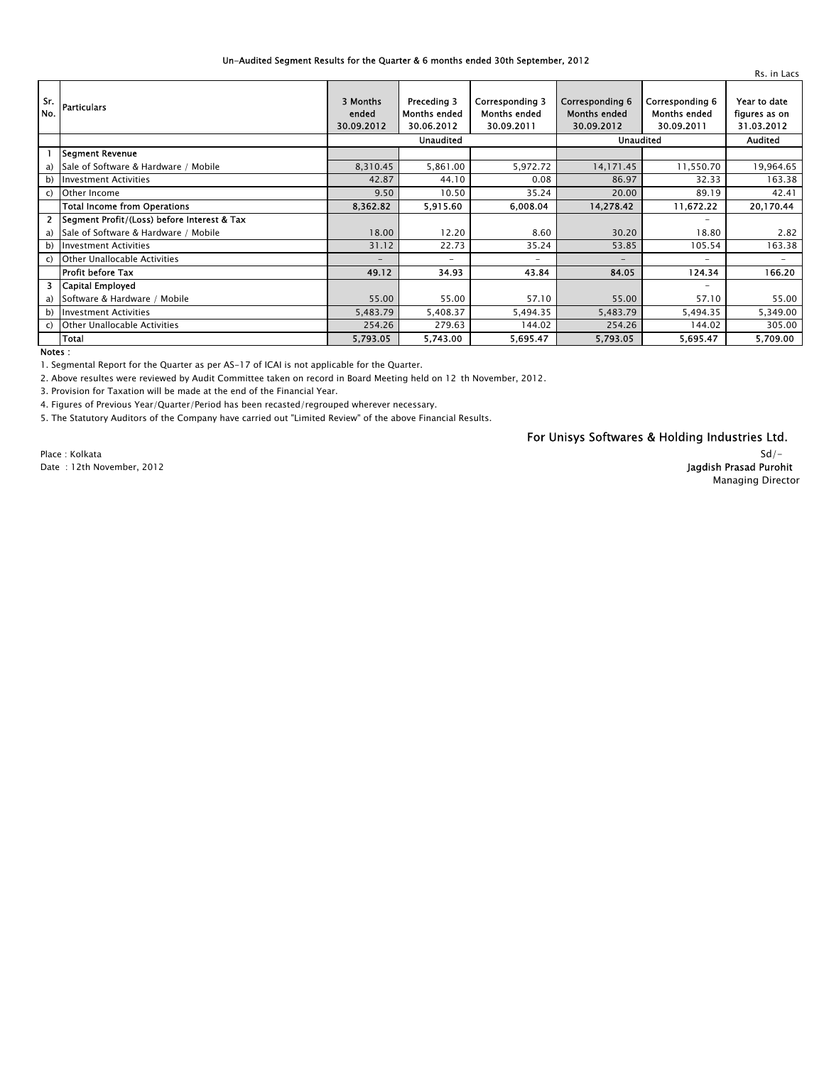#### Un-Audited Segment Results for the Quarter & 6 months ended 30th September, 2012

| Sr.<br>No.     | <b>Particulars</b>                          | 3 Months<br>ended<br>30.09.2012 | Preceding 3<br><b>Months ended</b><br>30.06.2012 | <b>Corresponding 3</b><br><b>Months ended</b><br>30.09.2011 | Corresponding 6<br><b>Months ended</b><br>30.09.2012 | Corresponding 6<br><b>Months ended</b><br>30.09.2011 | Year to date<br>figures as on<br>31.03.2012 |
|----------------|---------------------------------------------|---------------------------------|--------------------------------------------------|-------------------------------------------------------------|------------------------------------------------------|------------------------------------------------------|---------------------------------------------|
|                |                                             | <b>Unaudited</b>                |                                                  |                                                             | <b>Unaudited</b>                                     |                                                      | <b>Audited</b>                              |
|                | <b>Segment Revenue</b>                      |                                 |                                                  |                                                             |                                                      |                                                      |                                             |
|                | a) Sale of Software & Hardware / Mobile     | 8,310.45                        | 5,861.00                                         | 5,972.72                                                    | 14,171.45                                            | 11,550.70                                            | 19,964.65                                   |
|                | b) Investment Activities                    | 42.87                           | 44.10                                            | 0.08                                                        | 86.97                                                | 32.33                                                | 163.38                                      |
|                | c) Other Income                             | 9.50                            | 10.50                                            | 35.24                                                       | 20.00                                                | 89.19                                                | 42.41                                       |
|                | <b>Total Income from Operations</b>         | 8,362.82                        | 5,915.60                                         | 6,008.04                                                    | 14,278.42                                            | 11,672.22                                            | 20,170.44                                   |
| 2 <sup>1</sup> | Segment Profit/(Loss) before Interest & Tax |                                 |                                                  |                                                             |                                                      | -                                                    |                                             |
|                | a) Sale of Software & Hardware / Mobile     | 18.00                           | 12.20                                            | 8.60                                                        | 30.20                                                | 18.80                                                | 2.82                                        |
|                | b) Investment Activities                    | 31.12                           | 22.73                                            | 35.24                                                       | 53.85                                                | 105.54                                               | 163.38                                      |
|                | c) Other Unallocable Activities             | $\overline{\phantom{0}}$        | $\overline{\phantom{0}}$                         | $\overline{\phantom{0}}$                                    | -                                                    | $\overline{\phantom{0}}$                             | -                                           |
|                | <b>Profit before Tax</b>                    | 49.12                           | 34.93                                            | 43.84                                                       | 84.05                                                | 124.34                                               | 166.20                                      |
|                | 3 Capital Employed                          |                                 |                                                  |                                                             |                                                      | -                                                    |                                             |
|                | a) Software & Hardware / Mobile             | 55.00                           | 55.00                                            | 57.10                                                       | 55.00                                                | 57.10                                                | 55.00                                       |
|                | b) Investment Activities                    | 5,483.79                        | 5,408.37                                         | 5,494.35                                                    | 5,483.79                                             | 5,494.35                                             | 5,349.00                                    |
|                | c) Other Unallocable Activities             | 254.26                          | 279.63                                           | 144.02                                                      | 254.26                                               | 144.02                                               | 305.00                                      |
|                | <b>Total</b>                                | 5,793.05                        | 5,743.00                                         | 5,695.47                                                    | 5,793.05                                             | 5,695.47                                             | 5,709.00                                    |
| Notes:         |                                             |                                 |                                                  |                                                             |                                                      |                                                      |                                             |

1. Segmental Report for the Quarter as per AS-17 of ICAI is not applicable for the Quarter.

2. Above resultes were reviewed by Audit Committee taken on record in Board Meeting held on 12 th November, 2012.

3. Provision for Taxation will be made at the end of the Financial Year.

4. Figures of Previous Year/Quarter/Period has been recasted/regrouped wherever necessary.

5. The Statutory Auditors of the Company have carried out "Limited Review" of the above Financial Results.

For Unisys Softwares & Holding Industries Ltd.

Date : 12th November, 2012

Place : Kolkata

Jagdish Prasad Purohit Managing Director

 $Sd/-$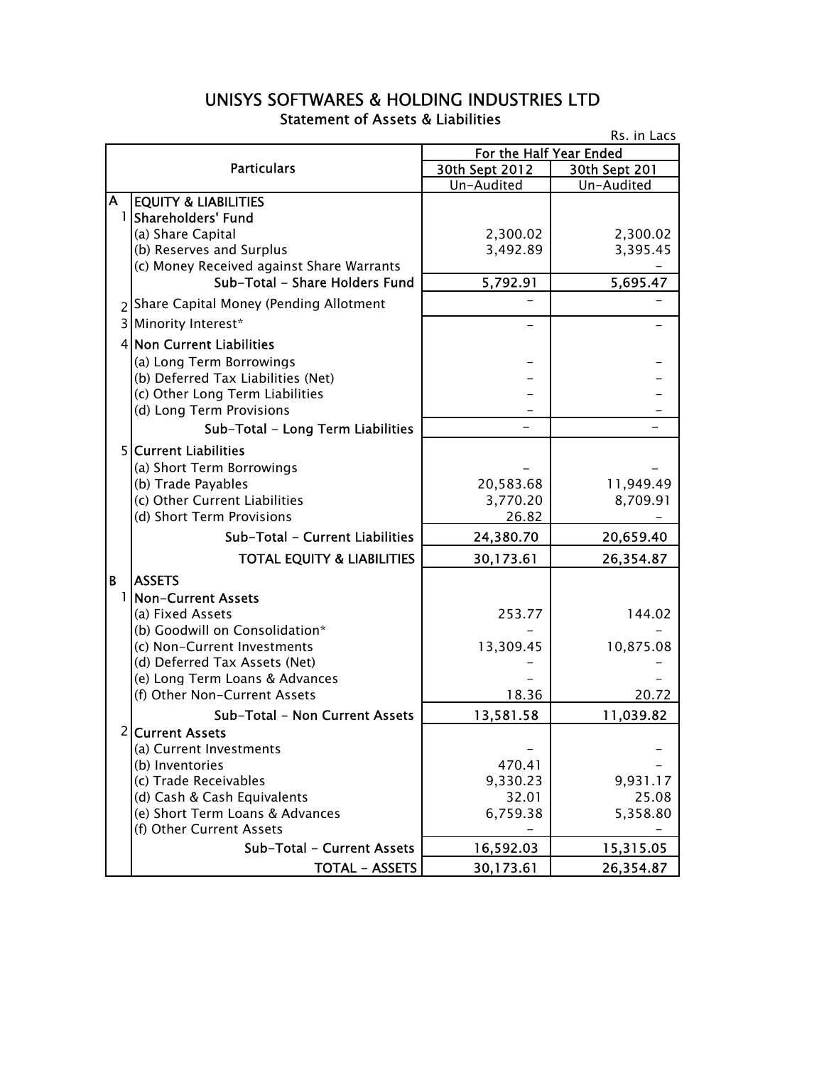### UNISYS SOFTWARES & HOLDING INDUSTRIES LTD Statement of Assets & Liabilities

| Rs. in Lacs |                                           |                         |               |  |  |
|-------------|-------------------------------------------|-------------------------|---------------|--|--|
|             |                                           | For the Half Year Ended |               |  |  |
|             | <b>Particulars</b>                        | 30th Sept 2012          | 30th Sept 201 |  |  |
|             |                                           | Un-Audited              | Un-Audited    |  |  |
| A           | <b>EQUITY &amp; LIABILITIES</b>           |                         |               |  |  |
|             | 1 Shareholders' Fund                      |                         |               |  |  |
|             | (a) Share Capital                         | 2,300.02                | 2,300.02      |  |  |
|             | (b) Reserves and Surplus                  | 3,492.89                | 3,395.45      |  |  |
|             | (c) Money Received against Share Warrants |                         |               |  |  |
|             | Sub-Total - Share Holders Fund            | 5,792.91                | 5,695.47      |  |  |
|             | 2 Share Capital Money (Pending Allotment  |                         |               |  |  |
|             | 3 Minority Interest*                      |                         |               |  |  |
|             | 4 Non Current Liabilities                 |                         |               |  |  |
|             | (a) Long Term Borrowings                  |                         |               |  |  |
|             | (b) Deferred Tax Liabilities (Net)        |                         |               |  |  |
|             | (c) Other Long Term Liabilities           |                         |               |  |  |
|             | (d) Long Term Provisions                  |                         |               |  |  |
|             | Sub-Total - Long Term Liabilities         |                         |               |  |  |
|             | <b>5 Current Liabilities</b>              |                         |               |  |  |
|             | (a) Short Term Borrowings                 |                         |               |  |  |
|             | (b) Trade Payables                        | 20,583.68               | 11,949.49     |  |  |
|             | (c) Other Current Liabilities             | 3,770.20                | 8,709.91      |  |  |
|             | (d) Short Term Provisions                 | 26.82                   |               |  |  |
|             | Sub-Total - Current Liabilities           | 24,380.70               | 20,659.40     |  |  |
|             | <b>TOTAL EQUITY &amp; LIABILITIES</b>     | 30,173.61               | 26,354.87     |  |  |
| B           | <b>ASSETS</b>                             |                         |               |  |  |
| 11          | <b>Non-Current Assets</b>                 |                         |               |  |  |
|             | (a) Fixed Assets                          | 253.77                  | 144.02        |  |  |
|             | (b) Goodwill on Consolidation*            |                         |               |  |  |
|             | (c) Non-Current Investments               | 13,309.45               | 10,875.08     |  |  |
|             | (d) Deferred Tax Assets (Net)             |                         |               |  |  |
|             | (e) Long Term Loans & Advances            |                         |               |  |  |
|             | (f) Other Non-Current Assets              | 18.36                   | 20.72         |  |  |
|             | Sub-Total - Non Current Assets            | 13,581.58               | 11,039.82     |  |  |
|             | 2 Current Assets                          |                         |               |  |  |
|             | (a) Current Investments                   |                         |               |  |  |
|             | (b) Inventories                           | 470.41                  |               |  |  |
|             | (c) Trade Receivables                     | 9,330.23                | 9,931.17      |  |  |
|             | (d) Cash & Cash Equivalents               | 32.01                   | 25.08         |  |  |
|             | (e) Short Term Loans & Advances           | 6,759.38                | 5,358.80      |  |  |
|             | (f) Other Current Assets                  |                         |               |  |  |
|             | Sub-Total - Current Assets                | 16,592.03               | 15,315.05     |  |  |
|             | <b>TOTAL - ASSETS</b>                     | 30,173.61               | 26,354.87     |  |  |